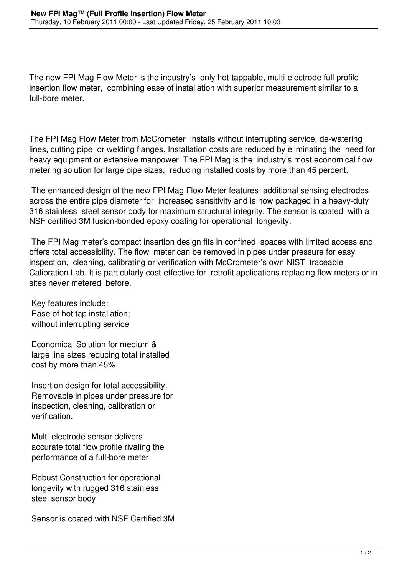The new FPI Mag Flow Meter is the industry's only hot-tappable, multi-electrode full profile insertion flow meter, combining ease of installation with superior measurement similar to a full-bore meter.

The FPI Mag Flow Meter from McCrometer installs without interrupting service, de-watering lines, cutting pipe or welding flanges. Installation costs are reduced by eliminating the need for heavy equipment or extensive manpower. The FPI Mag is the industry's most economical flow metering solution for large pipe sizes, reducing installed costs by more than 45 percent.

 The enhanced design of the new FPI Mag Flow Meter features additional sensing electrodes across the entire pipe diameter for increased sensitivity and is now packaged in a heavy-duty 316 stainless steel sensor body for maximum structural integrity. The sensor is coated with a NSF certified 3M fusion-bonded epoxy coating for operational longevity.

 The FPI Mag meter's compact insertion design fits in confined spaces with limited access and offers total accessibility. The flow meter can be removed in pipes under pressure for easy inspection, cleaning, calibrating or verification with McCrometer's own NIST traceable Calibration Lab. It is particularly cost-effective for retrofit applications replacing flow meters or in sites never metered before.

Key features include: Ease of hot tap installation; without interrupting service

 Economical Solution for medium & large line sizes reducing total installed cost by more than 45%

 Insertion design for total accessibility. Removable in pipes under pressure for inspection, cleaning, calibration or verification.

 Multi-electrode sensor delivers accurate total flow profile rivaling the performance of a full-bore meter

 Robust Construction for operational longevity with rugged 316 stainless steel sensor body

Sensor is coated with NSF Certified 3M